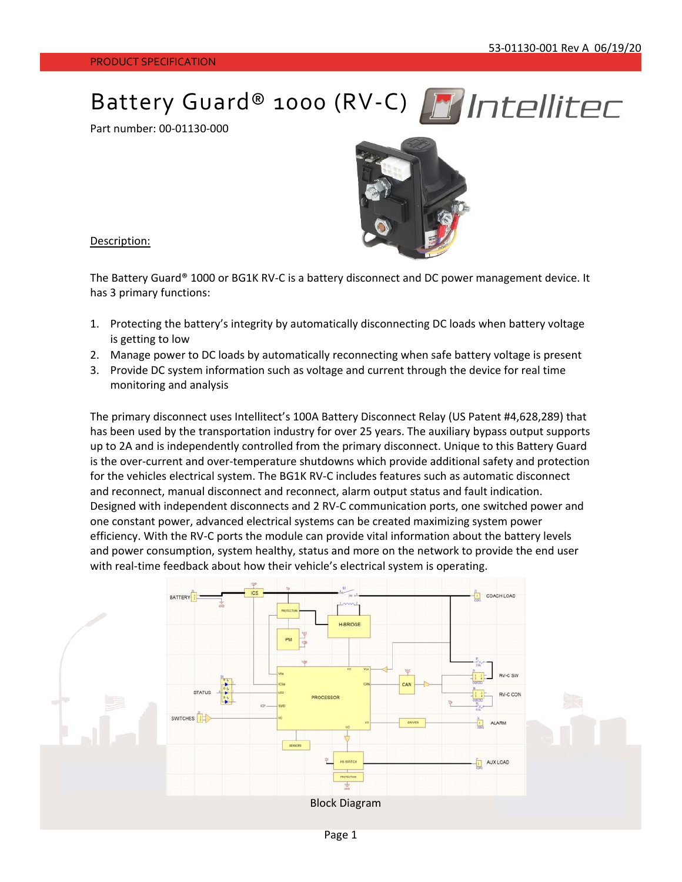Battery Guard® 1000 (RV-C) FIIT Intellitec

Part number: 00‐01130‐000



Description:

The Battery Guard® 1000 or BG1K RV-C is a battery disconnect and DC power management device. It has 3 primary functions:

- 1. Protecting the battery's integrity by automatically disconnecting DC loads when battery voltage is getting to low
- 2. Manage power to DC loads by automatically reconnecting when safe battery voltage is present
- 3. Provide DC system information such as voltage and current through the device for real time monitoring and analysis

The primary disconnect uses Intellitect's 100A Battery Disconnect Relay (US Patent #4,628,289) that has been used by the transportation industry for over 25 years. The auxiliary bypass output supports up to 2A and is independently controlled from the primary disconnect. Unique to this Battery Guard is the over‐current and over‐temperature shutdowns which provide additional safety and protection for the vehicles electrical system. The BG1K RV‐C includes features such as automatic disconnect and reconnect, manual disconnect and reconnect, alarm output status and fault indication. Designed with independent disconnects and 2 RV‐C communication ports, one switched power and one constant power, advanced electrical systems can be created maximizing system power efficiency. With the RV‐C ports the module can provide vital information about the battery levels and power consumption, system healthy, status and more on the network to provide the end user with real-time feedback about how their vehicle's electrical system is operating.

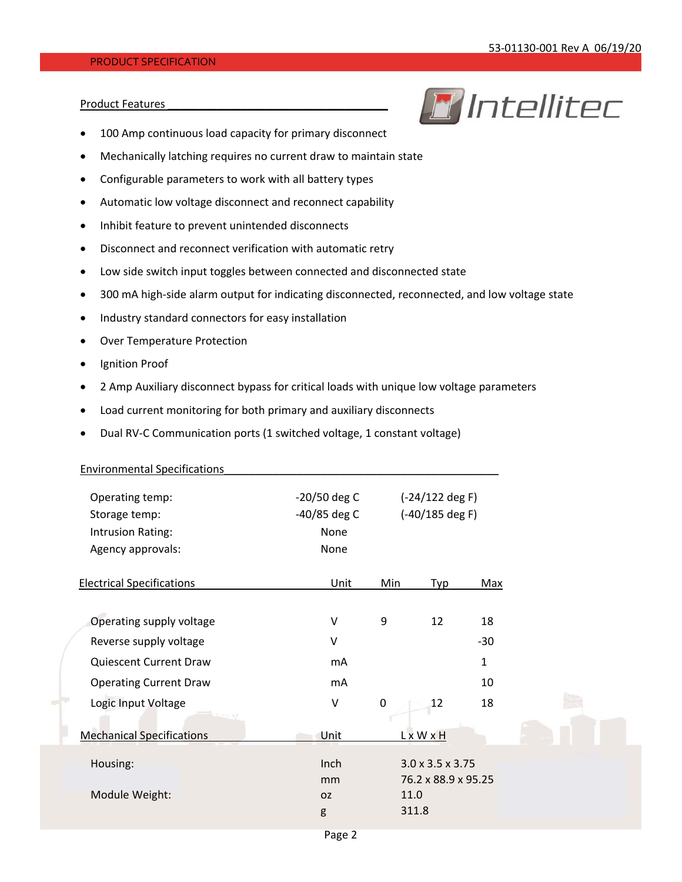**R** Intellitec

## PRODUCT SPECIFICATION

## Product Features



- Mechanically latching requires no current draw to maintain state
- Configurable parameters to work with all battery types
- Automatic low voltage disconnect and reconnect capability
- Inhibit feature to prevent unintended disconnects
- Disconnect and reconnect verification with automatic retry
- Low side switch input toggles between connected and disconnected state
- 300 mA high-side alarm output for indicating disconnected, reconnected, and low voltage state
- Industry standard connectors for easy installation
- Over Temperature Protection
- Ignition Proof
- 2 Amp Auxiliary disconnect bypass for critical loads with unique low voltage parameters
- Load current monitoring for both primary and auxiliary disconnects
- Dual RV-C Communication ports (1 switched voltage, 1 constant voltage)

| <b>Environmental Specifications</b> |                |           |                              |              |  |
|-------------------------------------|----------------|-----------|------------------------------|--------------|--|
| Operating temp:                     | $-20/50$ deg C |           | $(-24/122$ deg F)            |              |  |
| Storage temp:                       | $-40/85$ deg C |           | $(-40/185$ deg F)            |              |  |
| Intrusion Rating:                   | None           |           |                              |              |  |
| Agency approvals:                   | None           |           |                              |              |  |
| <b>Electrical Specifications</b>    | Unit           | Min       | Typ                          | Max          |  |
| Operating supply voltage            | $\vee$         | 9         | 12                           | 18           |  |
| Reverse supply voltage              | $\vee$         |           |                              | $-30$        |  |
| Quiescent Current Draw              | mA             |           |                              | $\mathbf{1}$ |  |
| <b>Operating Current Draw</b>       | mA             |           |                              | 10           |  |
| Logic Input Voltage                 | $\sf V$        | $\pmb{0}$ | 12                           | 18           |  |
| <b>Mechanical Specifications</b>    | Unit           |           | LxWxH                        |              |  |
| Housing:                            | Inch           |           | $3.0 \times 3.5 \times 3.75$ |              |  |
|                                     | mm             |           | 76.2 x 88.9 x 95.25          |              |  |
| Module Weight:                      | <b>OZ</b>      | 11.0      |                              |              |  |
|                                     | g              | 311.8     |                              |              |  |